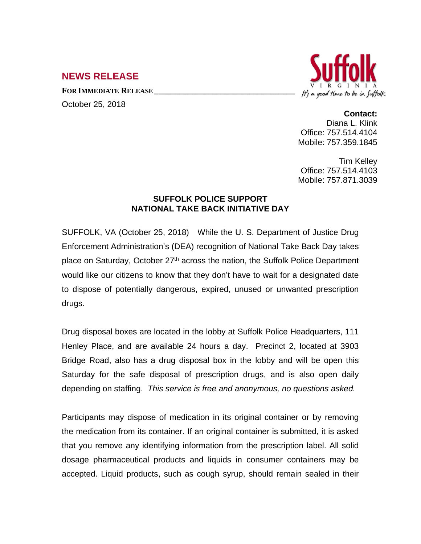## **NEWS RELEASE**

**FOR IMMEDIATE RELEASE \_\_\_\_\_\_\_\_\_\_\_\_\_\_\_\_\_\_\_\_\_\_\_\_\_\_\_\_\_\_\_\_\_\_**

October 25, 2018



## **Contact:**

Diana L. Klink Office: 757.514.4104 Mobile: 757.359.1845

Tim Kelley Office: 757.514.4103 Mobile: 757.871.3039

## **SUFFOLK POLICE SUPPORT NATIONAL TAKE BACK INITIATIVE DAY**

SUFFOLK, VA (October 25, 2018) While the U. S. Department of Justice Drug Enforcement Administration's (DEA) recognition of National Take Back Day takes place on Saturday, October 27<sup>th</sup> across the nation, the Suffolk Police Department would like our citizens to know that they don't have to wait for a designated date to dispose of potentially dangerous, expired, unused or unwanted prescription drugs.

Drug disposal boxes are located in the lobby at Suffolk Police Headquarters, 111 Henley Place, and are available 24 hours a day. Precinct 2, located at 3903 Bridge Road, also has a drug disposal box in the lobby and will be open this Saturday for the safe disposal of prescription drugs, and is also open daily depending on staffing. *This service is free and anonymous, no questions asked.*

Participants may dispose of medication in its original container or by removing the medication from its container. If an original container is submitted, it is asked that you remove any identifying information from the prescription label. All solid dosage pharmaceutical products and liquids in consumer containers may be accepted. Liquid products, such as cough syrup, should remain sealed in their